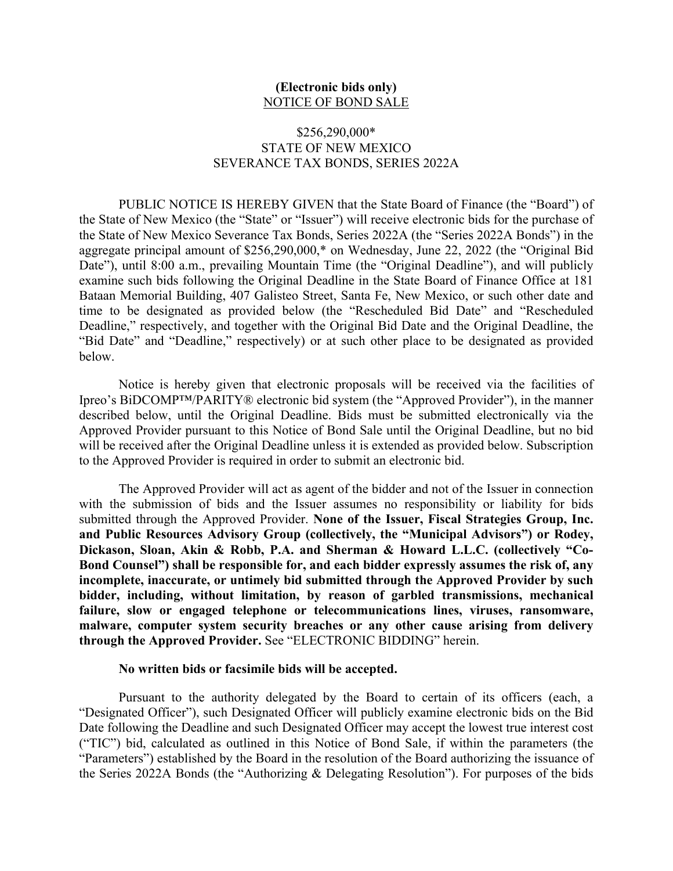## **(Electronic bids only)** NOTICE OF BOND SALE

## \$256,290,000\* STATE OF NEW MEXICO SEVERANCE TAX BONDS, SERIES 2022A

PUBLIC NOTICE IS HEREBY GIVEN that the State Board of Finance (the "Board") of the State of New Mexico (the "State" or "Issuer") will receive electronic bids for the purchase of the State of New Mexico Severance Tax Bonds, Series 2022A (the "Series 2022A Bonds") in the aggregate principal amount of \$256,290,000,\* on Wednesday, June 22, 2022 (the "Original Bid Date"), until 8:00 a.m., prevailing Mountain Time (the "Original Deadline"), and will publicly examine such bids following the Original Deadline in the State Board of Finance Office at 181 Bataan Memorial Building, 407 Galisteo Street, Santa Fe, New Mexico, or such other date and time to be designated as provided below (the "Rescheduled Bid Date" and "Rescheduled Deadline," respectively, and together with the Original Bid Date and the Original Deadline, the "Bid Date" and "Deadline," respectively) or at such other place to be designated as provided below.

Notice is hereby given that electronic proposals will be received via the facilities of Ipreo's BiDCOMP™/PARITY® electronic bid system (the "Approved Provider"), in the manner described below, until the Original Deadline. Bids must be submitted electronically via the Approved Provider pursuant to this Notice of Bond Sale until the Original Deadline, but no bid will be received after the Original Deadline unless it is extended as provided below. Subscription to the Approved Provider is required in order to submit an electronic bid.

The Approved Provider will act as agent of the bidder and not of the Issuer in connection with the submission of bids and the Issuer assumes no responsibility or liability for bids submitted through the Approved Provider. **None of the Issuer, Fiscal Strategies Group, Inc. and Public Resources Advisory Group (collectively, the "Municipal Advisors") or Rodey, Dickason, Sloan, Akin & Robb, P.A. and Sherman & Howard L.L.C. (collectively "Co-Bond Counsel") shall be responsible for, and each bidder expressly assumes the risk of, any incomplete, inaccurate, or untimely bid submitted through the Approved Provider by such bidder, including, without limitation, by reason of garbled transmissions, mechanical failure, slow or engaged telephone or telecommunications lines, viruses, ransomware, malware, computer system security breaches or any other cause arising from delivery through the Approved Provider.** See "ELECTRONIC BIDDING" herein.

#### **No written bids or facsimile bids will be accepted.**

Pursuant to the authority delegated by the Board to certain of its officers (each, a "Designated Officer"), such Designated Officer will publicly examine electronic bids on the Bid Date following the Deadline and such Designated Officer may accept the lowest true interest cost ("TIC") bid, calculated as outlined in this Notice of Bond Sale, if within the parameters (the "Parameters") established by the Board in the resolution of the Board authorizing the issuance of the Series 2022A Bonds (the "Authorizing & Delegating Resolution"). For purposes of the bids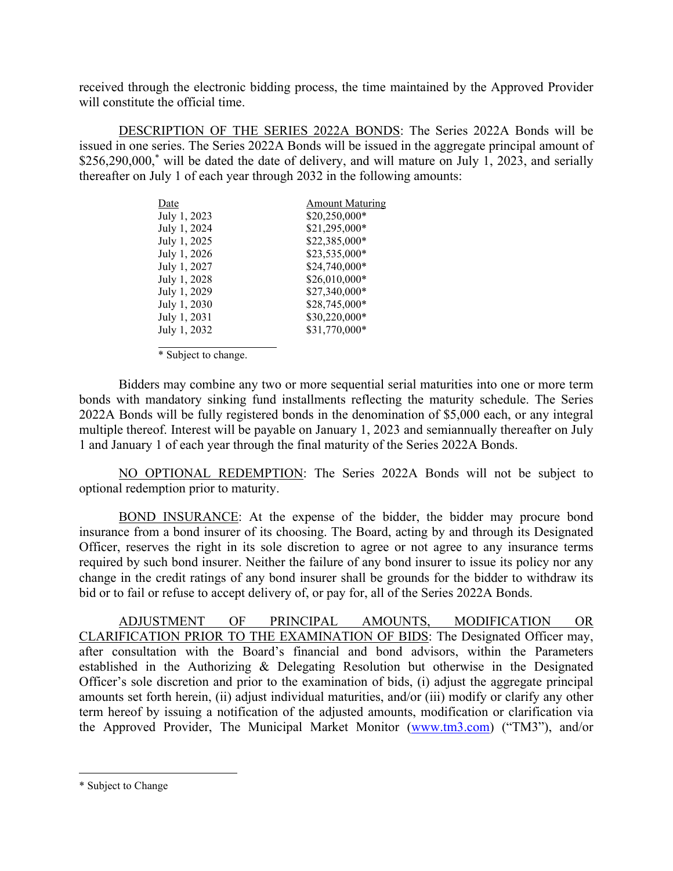received through the electronic bidding process, the time maintained by the Approved Provider will constitute the official time.

DESCRIPTION OF THE SERIES 2022A BONDS: The Series 2022A Bonds will be issued in one series. The Series 2022A Bonds will be issued in the aggregate principal amount of \$256,290,000,<sup>\*</sup> will be dated the date of delivery, and will mature on July 1, 2023, and serially thereafter on July 1 of each year through 2032 in the following amounts:

| <b>Amount Maturing</b> |
|------------------------|
| \$20,250,000*          |
| \$21,295,000*          |
| \$22,385,000*          |
| \$23,535,000*          |
| \$24,740,000*          |
| \$26,010,000*          |
| \$27,340,000*          |
| \$28,745,000*          |
| \$30,220,000*          |
| \$31,770,000*          |
|                        |

\* Subject to change.

Bidders may combine any two or more sequential serial maturities into one or more term bonds with mandatory sinking fund installments reflecting the maturity schedule. The Series 2022A Bonds will be fully registered bonds in the denomination of \$5,000 each, or any integral multiple thereof. Interest will be payable on January 1, 2023 and semiannually thereafter on July 1 and January 1 of each year through the final maturity of the Series 2022A Bonds.

NO OPTIONAL REDEMPTION: The Series 2022A Bonds will not be subject to optional redemption prior to maturity.

BOND INSURANCE: At the expense of the bidder, the bidder may procure bond insurance from a bond insurer of its choosing. The Board, acting by and through its Designated Officer, reserves the right in its sole discretion to agree or not agree to any insurance terms required by such bond insurer. Neither the failure of any bond insurer to issue its policy nor any change in the credit ratings of any bond insurer shall be grounds for the bidder to withdraw its bid or to fail or refuse to accept delivery of, or pay for, all of the Series 2022A Bonds.

ADJUSTMENT OF PRINCIPAL AMOUNTS, MODIFICATION OR CLARIFICATION PRIOR TO THE EXAMINATION OF BIDS: The Designated Officer may, after consultation with the Board's financial and bond advisors, within the Parameters established in the Authorizing & Delegating Resolution but otherwise in the Designated Officer's sole discretion and prior to the examination of bids, (i) adjust the aggregate principal amounts set forth herein, (ii) adjust individual maturities, and/or (iii) modify or clarify any other term hereof by issuing a notification of the adjusted amounts, modification or clarification via the Approved Provider, The Municipal Market Monitor (www.tm3.com) ("TM3"), and/or

<sup>\*</sup> Subject to Change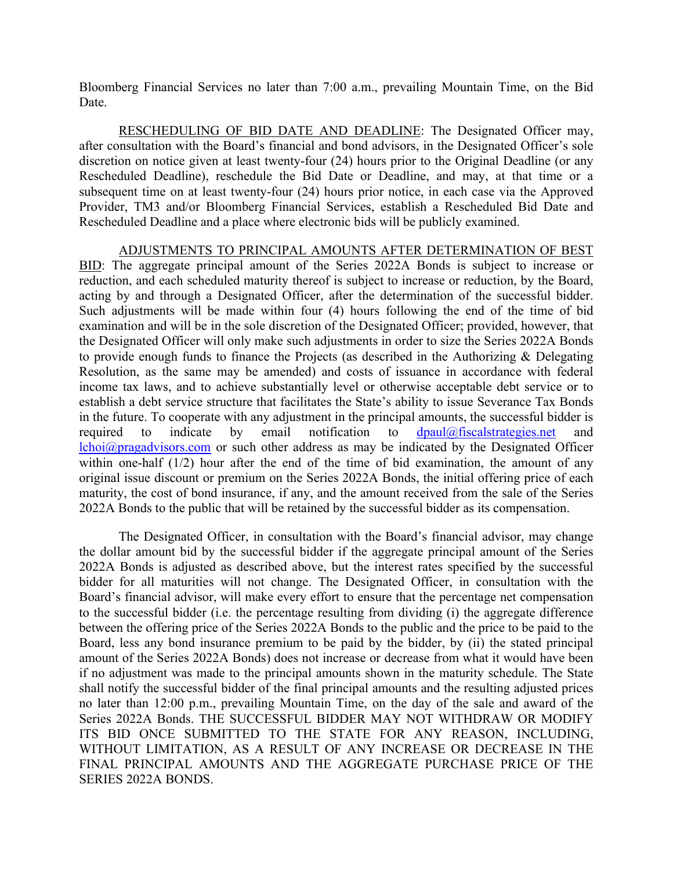Bloomberg Financial Services no later than 7:00 a.m., prevailing Mountain Time, on the Bid Date.

RESCHEDULING OF BID DATE AND DEADLINE: The Designated Officer may, after consultation with the Board's financial and bond advisors, in the Designated Officer's sole discretion on notice given at least twenty-four (24) hours prior to the Original Deadline (or any Rescheduled Deadline), reschedule the Bid Date or Deadline, and may, at that time or a subsequent time on at least twenty-four (24) hours prior notice, in each case via the Approved Provider, TM3 and/or Bloomberg Financial Services, establish a Rescheduled Bid Date and Rescheduled Deadline and a place where electronic bids will be publicly examined.

ADJUSTMENTS TO PRINCIPAL AMOUNTS AFTER DETERMINATION OF BEST BID: The aggregate principal amount of the Series 2022A Bonds is subject to increase or reduction, and each scheduled maturity thereof is subject to increase or reduction, by the Board, acting by and through a Designated Officer, after the determination of the successful bidder. Such adjustments will be made within four (4) hours following the end of the time of bid examination and will be in the sole discretion of the Designated Officer; provided, however, that the Designated Officer will only make such adjustments in order to size the Series 2022A Bonds to provide enough funds to finance the Projects (as described in the Authorizing & Delegating Resolution, as the same may be amended) and costs of issuance in accordance with federal income tax laws, and to achieve substantially level or otherwise acceptable debt service or to establish a debt service structure that facilitates the State's ability to issue Severance Tax Bonds in the future. To cooperate with any adjustment in the principal amounts, the successful bidder is required to indicate by email notification to  $d$ paul@fiscalstrategies.net and lchoi@pragadvisors.com or such other address as may be indicated by the Designated Officer within one-half (1/2) hour after the end of the time of bid examination, the amount of any original issue discount or premium on the Series 2022A Bonds, the initial offering price of each maturity, the cost of bond insurance, if any, and the amount received from the sale of the Series 2022A Bonds to the public that will be retained by the successful bidder as its compensation.

The Designated Officer, in consultation with the Board's financial advisor, may change the dollar amount bid by the successful bidder if the aggregate principal amount of the Series 2022A Bonds is adjusted as described above, but the interest rates specified by the successful bidder for all maturities will not change. The Designated Officer, in consultation with the Board's financial advisor, will make every effort to ensure that the percentage net compensation to the successful bidder (i.e. the percentage resulting from dividing (i) the aggregate difference between the offering price of the Series 2022A Bonds to the public and the price to be paid to the Board, less any bond insurance premium to be paid by the bidder, by (ii) the stated principal amount of the Series 2022A Bonds) does not increase or decrease from what it would have been if no adjustment was made to the principal amounts shown in the maturity schedule. The State shall notify the successful bidder of the final principal amounts and the resulting adjusted prices no later than 12:00 p.m., prevailing Mountain Time, on the day of the sale and award of the Series 2022A Bonds. THE SUCCESSFUL BIDDER MAY NOT WITHDRAW OR MODIFY ITS BID ONCE SUBMITTED TO THE STATE FOR ANY REASON, INCLUDING, WITHOUT LIMITATION, AS A RESULT OF ANY INCREASE OR DECREASE IN THE FINAL PRINCIPAL AMOUNTS AND THE AGGREGATE PURCHASE PRICE OF THE SERIES 2022A BONDS.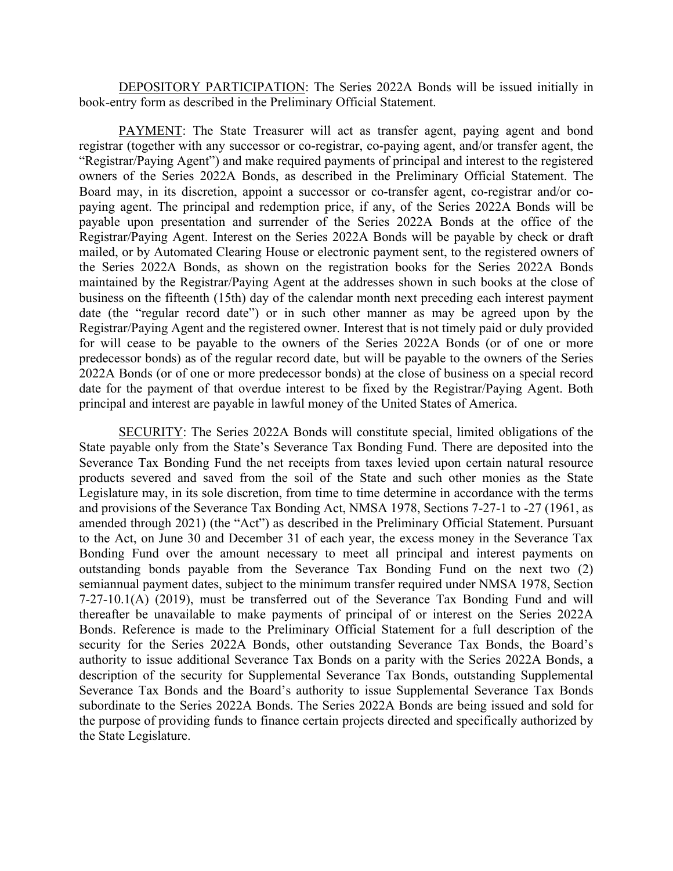DEPOSITORY PARTICIPATION: The Series 2022A Bonds will be issued initially in book-entry form as described in the Preliminary Official Statement.

PAYMENT: The State Treasurer will act as transfer agent, paying agent and bond registrar (together with any successor or co-registrar, co-paying agent, and/or transfer agent, the "Registrar/Paying Agent") and make required payments of principal and interest to the registered owners of the Series 2022A Bonds, as described in the Preliminary Official Statement. The Board may, in its discretion, appoint a successor or co-transfer agent, co-registrar and/or copaying agent. The principal and redemption price, if any, of the Series 2022A Bonds will be payable upon presentation and surrender of the Series 2022A Bonds at the office of the Registrar/Paying Agent. Interest on the Series 2022A Bonds will be payable by check or draft mailed, or by Automated Clearing House or electronic payment sent, to the registered owners of the Series 2022A Bonds, as shown on the registration books for the Series 2022A Bonds maintained by the Registrar/Paying Agent at the addresses shown in such books at the close of business on the fifteenth (15th) day of the calendar month next preceding each interest payment date (the "regular record date") or in such other manner as may be agreed upon by the Registrar/Paying Agent and the registered owner. Interest that is not timely paid or duly provided for will cease to be payable to the owners of the Series 2022A Bonds (or of one or more predecessor bonds) as of the regular record date, but will be payable to the owners of the Series 2022A Bonds (or of one or more predecessor bonds) at the close of business on a special record date for the payment of that overdue interest to be fixed by the Registrar/Paying Agent. Both principal and interest are payable in lawful money of the United States of America.

SECURITY: The Series 2022A Bonds will constitute special, limited obligations of the State payable only from the State's Severance Tax Bonding Fund. There are deposited into the Severance Tax Bonding Fund the net receipts from taxes levied upon certain natural resource products severed and saved from the soil of the State and such other monies as the State Legislature may, in its sole discretion, from time to time determine in accordance with the terms and provisions of the Severance Tax Bonding Act, NMSA 1978, Sections 7-27-1 to -27 (1961, as amended through 2021) (the "Act") as described in the Preliminary Official Statement. Pursuant to the Act, on June 30 and December 31 of each year, the excess money in the Severance Tax Bonding Fund over the amount necessary to meet all principal and interest payments on outstanding bonds payable from the Severance Tax Bonding Fund on the next two (2) semiannual payment dates, subject to the minimum transfer required under NMSA 1978, Section 7-27-10.1(A) (2019), must be transferred out of the Severance Tax Bonding Fund and will thereafter be unavailable to make payments of principal of or interest on the Series 2022A Bonds. Reference is made to the Preliminary Official Statement for a full description of the security for the Series 2022A Bonds, other outstanding Severance Tax Bonds, the Board's authority to issue additional Severance Tax Bonds on a parity with the Series 2022A Bonds, a description of the security for Supplemental Severance Tax Bonds, outstanding Supplemental Severance Tax Bonds and the Board's authority to issue Supplemental Severance Tax Bonds subordinate to the Series 2022A Bonds. The Series 2022A Bonds are being issued and sold for the purpose of providing funds to finance certain projects directed and specifically authorized by the State Legislature.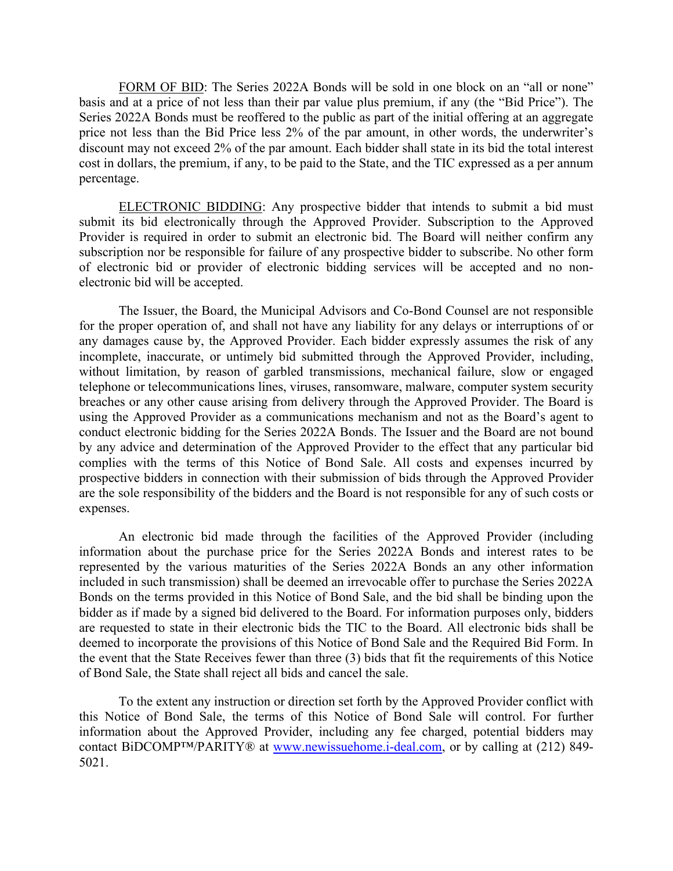FORM OF BID: The Series 2022A Bonds will be sold in one block on an "all or none" basis and at a price of not less than their par value plus premium, if any (the "Bid Price"). The Series 2022A Bonds must be reoffered to the public as part of the initial offering at an aggregate price not less than the Bid Price less 2% of the par amount, in other words, the underwriter's discount may not exceed 2% of the par amount. Each bidder shall state in its bid the total interest cost in dollars, the premium, if any, to be paid to the State, and the TIC expressed as a per annum percentage.

ELECTRONIC BIDDING: Any prospective bidder that intends to submit a bid must submit its bid electronically through the Approved Provider. Subscription to the Approved Provider is required in order to submit an electronic bid. The Board will neither confirm any subscription nor be responsible for failure of any prospective bidder to subscribe. No other form of electronic bid or provider of electronic bidding services will be accepted and no nonelectronic bid will be accepted.

The Issuer, the Board, the Municipal Advisors and Co-Bond Counsel are not responsible for the proper operation of, and shall not have any liability for any delays or interruptions of or any damages cause by, the Approved Provider. Each bidder expressly assumes the risk of any incomplete, inaccurate, or untimely bid submitted through the Approved Provider, including, without limitation, by reason of garbled transmissions, mechanical failure, slow or engaged telephone or telecommunications lines, viruses, ransomware, malware, computer system security breaches or any other cause arising from delivery through the Approved Provider. The Board is using the Approved Provider as a communications mechanism and not as the Board's agent to conduct electronic bidding for the Series 2022A Bonds. The Issuer and the Board are not bound by any advice and determination of the Approved Provider to the effect that any particular bid complies with the terms of this Notice of Bond Sale. All costs and expenses incurred by prospective bidders in connection with their submission of bids through the Approved Provider are the sole responsibility of the bidders and the Board is not responsible for any of such costs or expenses.

An electronic bid made through the facilities of the Approved Provider (including information about the purchase price for the Series 2022A Bonds and interest rates to be represented by the various maturities of the Series 2022A Bonds an any other information included in such transmission) shall be deemed an irrevocable offer to purchase the Series 2022A Bonds on the terms provided in this Notice of Bond Sale, and the bid shall be binding upon the bidder as if made by a signed bid delivered to the Board. For information purposes only, bidders are requested to state in their electronic bids the TIC to the Board. All electronic bids shall be deemed to incorporate the provisions of this Notice of Bond Sale and the Required Bid Form. In the event that the State Receives fewer than three (3) bids that fit the requirements of this Notice of Bond Sale, the State shall reject all bids and cancel the sale.

To the extent any instruction or direction set forth by the Approved Provider conflict with this Notice of Bond Sale, the terms of this Notice of Bond Sale will control. For further information about the Approved Provider, including any fee charged, potential bidders may contact BiDCOMP™/PARITY® at www.newissuehome.i-deal.com, or by calling at (212) 849- 5021.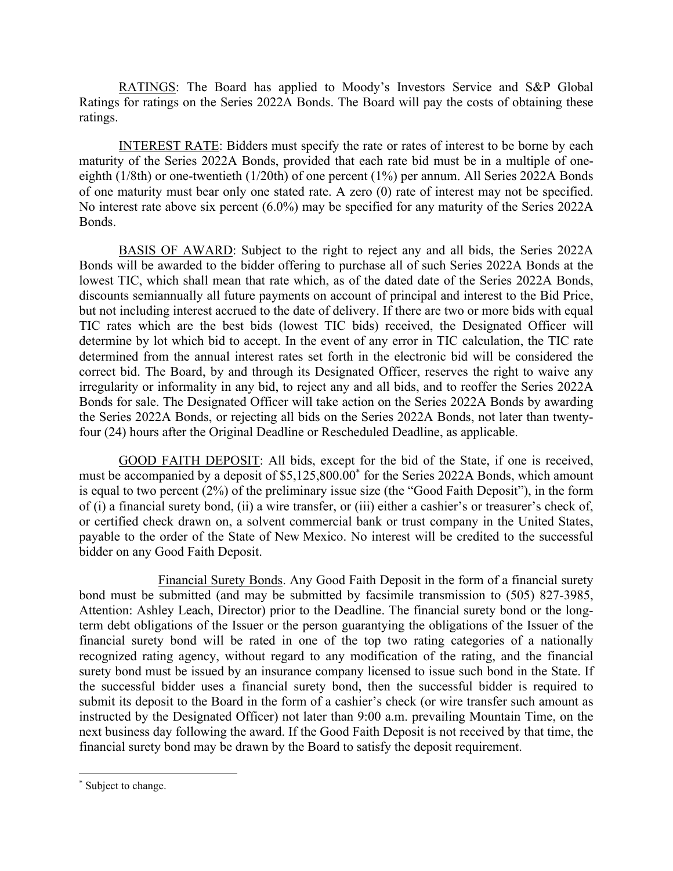RATINGS: The Board has applied to Moody's Investors Service and S&P Global Ratings for ratings on the Series 2022A Bonds. The Board will pay the costs of obtaining these ratings.

INTEREST RATE: Bidders must specify the rate or rates of interest to be borne by each maturity of the Series 2022A Bonds, provided that each rate bid must be in a multiple of oneeighth (1/8th) or one-twentieth (1/20th) of one percent (1%) per annum. All Series 2022A Bonds of one maturity must bear only one stated rate. A zero (0) rate of interest may not be specified. No interest rate above six percent (6.0%) may be specified for any maturity of the Series 2022A Bonds.

BASIS OF AWARD: Subject to the right to reject any and all bids, the Series 2022A Bonds will be awarded to the bidder offering to purchase all of such Series 2022A Bonds at the lowest TIC, which shall mean that rate which, as of the dated date of the Series 2022A Bonds, discounts semiannually all future payments on account of principal and interest to the Bid Price, but not including interest accrued to the date of delivery. If there are two or more bids with equal TIC rates which are the best bids (lowest TIC bids) received, the Designated Officer will determine by lot which bid to accept. In the event of any error in TIC calculation, the TIC rate determined from the annual interest rates set forth in the electronic bid will be considered the correct bid. The Board, by and through its Designated Officer, reserves the right to waive any irregularity or informality in any bid, to reject any and all bids, and to reoffer the Series 2022A Bonds for sale. The Designated Officer will take action on the Series 2022A Bonds by awarding the Series 2022A Bonds, or rejecting all bids on the Series 2022A Bonds, not later than twentyfour (24) hours after the Original Deadline or Rescheduled Deadline, as applicable.

GOOD FAITH DEPOSIT: All bids, except for the bid of the State, if one is received, must be accompanied by a deposit of \$5,125,800.00\* for the Series 2022A Bonds, which amount is equal to two percent (2%) of the preliminary issue size (the "Good Faith Deposit"), in the form of (i) a financial surety bond, (ii) a wire transfer, or (iii) either a cashier's or treasurer's check of, or certified check drawn on, a solvent commercial bank or trust company in the United States, payable to the order of the State of New Mexico. No interest will be credited to the successful bidder on any Good Faith Deposit.

Financial Surety Bonds. Any Good Faith Deposit in the form of a financial surety bond must be submitted (and may be submitted by facsimile transmission to (505) 827-3985, Attention: Ashley Leach, Director) prior to the Deadline. The financial surety bond or the longterm debt obligations of the Issuer or the person guarantying the obligations of the Issuer of the financial surety bond will be rated in one of the top two rating categories of a nationally recognized rating agency, without regard to any modification of the rating, and the financial surety bond must be issued by an insurance company licensed to issue such bond in the State. If the successful bidder uses a financial surety bond, then the successful bidder is required to submit its deposit to the Board in the form of a cashier's check (or wire transfer such amount as instructed by the Designated Officer) not later than 9:00 a.m. prevailing Mountain Time, on the next business day following the award. If the Good Faith Deposit is not received by that time, the financial surety bond may be drawn by the Board to satisfy the deposit requirement.

<sup>\*</sup> Subject to change.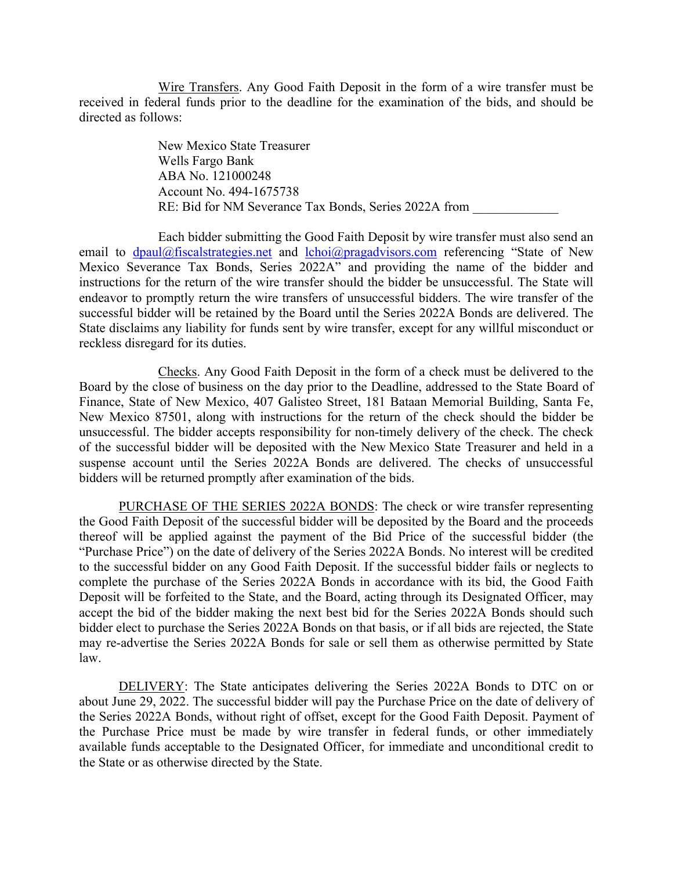Wire Transfers. Any Good Faith Deposit in the form of a wire transfer must be received in federal funds prior to the deadline for the examination of the bids, and should be directed as follows:

> New Mexico State Treasurer Wells Fargo Bank ABA No. 121000248 Account No. 494-1675738 RE: Bid for NM Severance Tax Bonds, Series 2022A from

Each bidder submitting the Good Faith Deposit by wire transfer must also send an email to  $d$ paul@fiscalstrategies.net and  $lchoi@pragadvisors.com$  referencing "State of New Mexico Severance Tax Bonds, Series 2022A" and providing the name of the bidder and instructions for the return of the wire transfer should the bidder be unsuccessful. The State will endeavor to promptly return the wire transfers of unsuccessful bidders. The wire transfer of the successful bidder will be retained by the Board until the Series 2022A Bonds are delivered. The State disclaims any liability for funds sent by wire transfer, except for any willful misconduct or reckless disregard for its duties.

Checks. Any Good Faith Deposit in the form of a check must be delivered to the Board by the close of business on the day prior to the Deadline, addressed to the State Board of Finance, State of New Mexico, 407 Galisteo Street, 181 Bataan Memorial Building, Santa Fe, New Mexico 87501, along with instructions for the return of the check should the bidder be unsuccessful. The bidder accepts responsibility for non-timely delivery of the check. The check of the successful bidder will be deposited with the New Mexico State Treasurer and held in a suspense account until the Series 2022A Bonds are delivered. The checks of unsuccessful bidders will be returned promptly after examination of the bids.

PURCHASE OF THE SERIES 2022A BONDS: The check or wire transfer representing the Good Faith Deposit of the successful bidder will be deposited by the Board and the proceeds thereof will be applied against the payment of the Bid Price of the successful bidder (the "Purchase Price") on the date of delivery of the Series 2022A Bonds. No interest will be credited to the successful bidder on any Good Faith Deposit. If the successful bidder fails or neglects to complete the purchase of the Series 2022A Bonds in accordance with its bid, the Good Faith Deposit will be forfeited to the State, and the Board, acting through its Designated Officer, may accept the bid of the bidder making the next best bid for the Series 2022A Bonds should such bidder elect to purchase the Series 2022A Bonds on that basis, or if all bids are rejected, the State may re-advertise the Series 2022A Bonds for sale or sell them as otherwise permitted by State law.

DELIVERY: The State anticipates delivering the Series 2022A Bonds to DTC on or about June 29, 2022. The successful bidder will pay the Purchase Price on the date of delivery of the Series 2022A Bonds, without right of offset, except for the Good Faith Deposit. Payment of the Purchase Price must be made by wire transfer in federal funds, or other immediately available funds acceptable to the Designated Officer, for immediate and unconditional credit to the State or as otherwise directed by the State.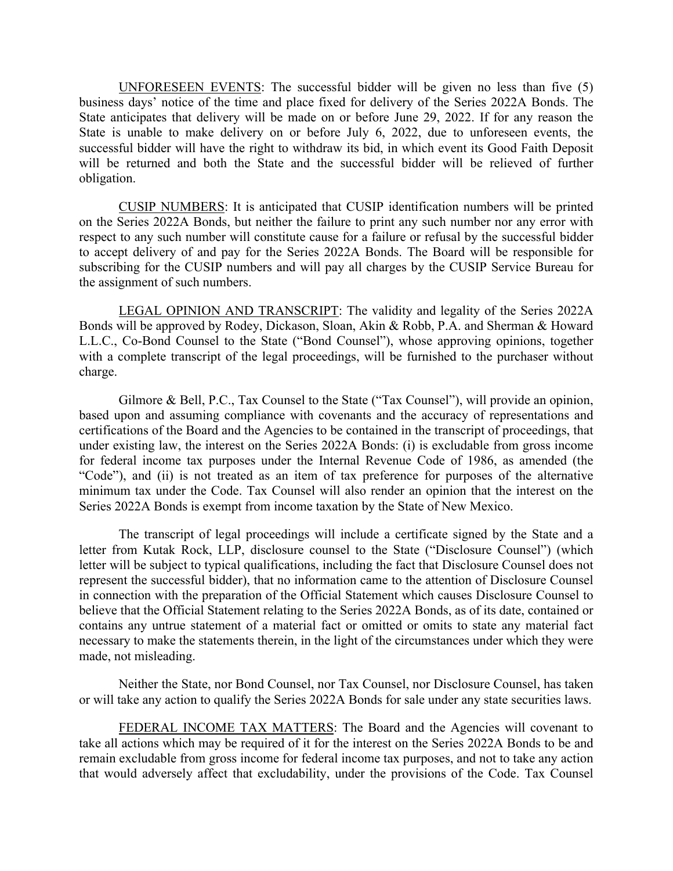UNFORESEEN EVENTS: The successful bidder will be given no less than five (5) business days' notice of the time and place fixed for delivery of the Series 2022A Bonds. The State anticipates that delivery will be made on or before June 29, 2022. If for any reason the State is unable to make delivery on or before July 6, 2022, due to unforeseen events, the successful bidder will have the right to withdraw its bid, in which event its Good Faith Deposit will be returned and both the State and the successful bidder will be relieved of further obligation.

CUSIP NUMBERS: It is anticipated that CUSIP identification numbers will be printed on the Series 2022A Bonds, but neither the failure to print any such number nor any error with respect to any such number will constitute cause for a failure or refusal by the successful bidder to accept delivery of and pay for the Series 2022A Bonds. The Board will be responsible for subscribing for the CUSIP numbers and will pay all charges by the CUSIP Service Bureau for the assignment of such numbers.

LEGAL OPINION AND TRANSCRIPT: The validity and legality of the Series 2022A Bonds will be approved by Rodey, Dickason, Sloan, Akin & Robb, P.A. and Sherman & Howard L.L.C., Co-Bond Counsel to the State ("Bond Counsel"), whose approving opinions, together with a complete transcript of the legal proceedings, will be furnished to the purchaser without charge.

Gilmore & Bell, P.C., Tax Counsel to the State ("Tax Counsel"), will provide an opinion, based upon and assuming compliance with covenants and the accuracy of representations and certifications of the Board and the Agencies to be contained in the transcript of proceedings, that under existing law, the interest on the Series 2022A Bonds: (i) is excludable from gross income for federal income tax purposes under the Internal Revenue Code of 1986, as amended (the "Code"), and (ii) is not treated as an item of tax preference for purposes of the alternative minimum tax under the Code. Tax Counsel will also render an opinion that the interest on the Series 2022A Bonds is exempt from income taxation by the State of New Mexico.

The transcript of legal proceedings will include a certificate signed by the State and a letter from Kutak Rock, LLP, disclosure counsel to the State ("Disclosure Counsel") (which letter will be subject to typical qualifications, including the fact that Disclosure Counsel does not represent the successful bidder), that no information came to the attention of Disclosure Counsel in connection with the preparation of the Official Statement which causes Disclosure Counsel to believe that the Official Statement relating to the Series 2022A Bonds, as of its date, contained or contains any untrue statement of a material fact or omitted or omits to state any material fact necessary to make the statements therein, in the light of the circumstances under which they were made, not misleading.

Neither the State, nor Bond Counsel, nor Tax Counsel, nor Disclosure Counsel, has taken or will take any action to qualify the Series 2022A Bonds for sale under any state securities laws.

FEDERAL INCOME TAX MATTERS: The Board and the Agencies will covenant to take all actions which may be required of it for the interest on the Series 2022A Bonds to be and remain excludable from gross income for federal income tax purposes, and not to take any action that would adversely affect that excludability, under the provisions of the Code. Tax Counsel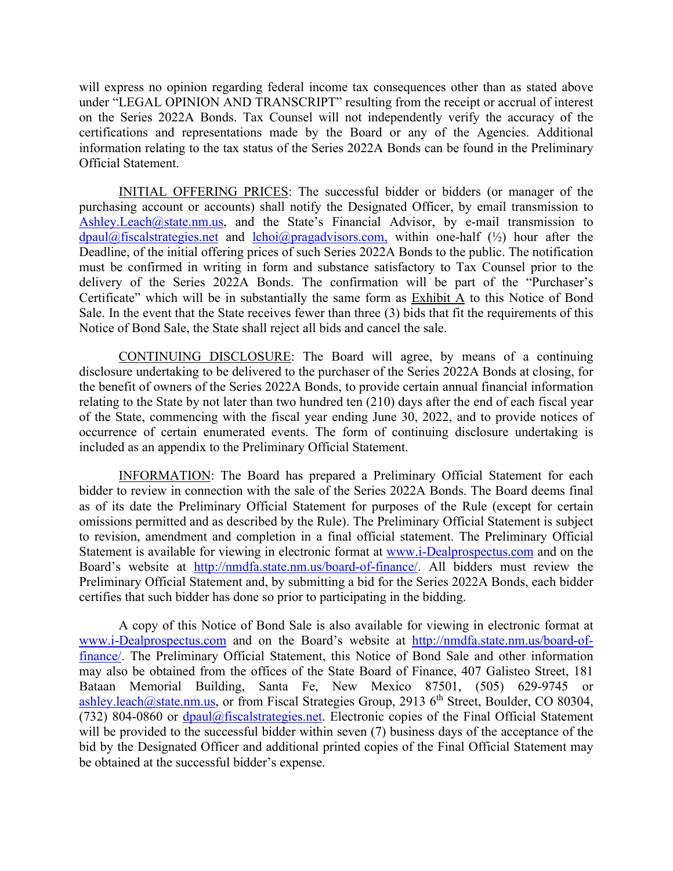will express no opinion regarding federal income tax consequences other than as stated above under "LEGAL OPINION AND TRANSCRIPT" resulting from the receipt or accrual of interest on the Series 2022A Bonds. Tax Counsel will not independently verify the accuracy of the certifications and representations made by the Board or any of the Agencies. Additional information relating to the tax status of the Series 2022A Bonds can be found in the Preliminary Official Statement.

INITIAL OFFERING PRICES: The successful bidder or bidders (or manager of the purchasing account or accounts) shall notify the Designated Officer, by email transmission to Ashley.Leach@state.nm.us, and the State's Financial Advisor, by e-mail transmission to  $d$ paul@fiscalstrategies.net and  $lchi@pragadvisors.com$ , within one-half ( $\frac{1}{2}$ ) hour after the Deadline, of the initial offering prices of such Series 2022A Bonds to the public. The notification must be confirmed in writing in form and substance satisfactory to Tax Counsel prior to the delivery of the Series 2022A Bonds. The confirmation will be part of the "Purchaser's Certificate" which will be in substantially the same form as Exhibit A to this Notice of Bond Sale. In the event that the State receives fewer than three (3) bids that fit the requirements of this Notice of Bond Sale, the State shall reject all bids and cancel the sale.

CONTINUING DISCLOSURE: The Board will agree, by means of a continuing disclosure undertaking to be delivered to the purchaser of the Series 2022A Bonds at closing, for the benefit of owners of the Series 2022A Bonds, to provide certain annual financial information relating to the State by not later than two hundred ten (210) days after the end of each fiscal year of the State, commencing with the fiscal year ending June 30, 2022, and to provide notices of occurrence of certain enumerated events. The form of continuing disclosure undertaking is included as an appendix to the Preliminary Official Statement.

INFORMATION: The Board has prepared a Preliminary Official Statement for each bidder to review in connection with the sale of the Series 2022A Bonds. The Board deems final as of its date the Preliminary Official Statement for purposes of the Rule (except for certain omissions permitted and as described by the Rule). The Preliminary Official Statement is subject to revision, amendment and completion in a final official statement. The Preliminary Official Statement is available for viewing in electronic format at www.i-Dealprospectus.com and on the Board's website at http://nmdfa.state.nm.us/board-of-finance/. All bidders must review the Preliminary Official Statement and, by submitting a bid for the Series 2022A Bonds, each bidder certifies that such bidder has done so prior to participating in the bidding.

A copy of this Notice of Bond Sale is also available for viewing in electronic format at www.i-Dealprospectus.com and on the Board's website at http://nmdfa.state.nm.us/board-offinance/. The Preliminary Official Statement, this Notice of Bond Sale and other information may also be obtained from the offices of the State Board of Finance, 407 Galisteo Street, 181 Bataan Memorial Building, Santa Fe, New Mexico 87501, (505) 629-9745 or ashley.leach@state.nm.us, or from Fiscal Strategies Group, 2913 6<sup>th</sup> Street, Boulder, CO 80304, (732) 804-0860 or dpaul@fiscalstrategies.net. Electronic copies of the Final Official Statement will be provided to the successful bidder within seven (7) business days of the acceptance of the bid by the Designated Officer and additional printed copies of the Final Official Statement may be obtained at the successful bidder's expense.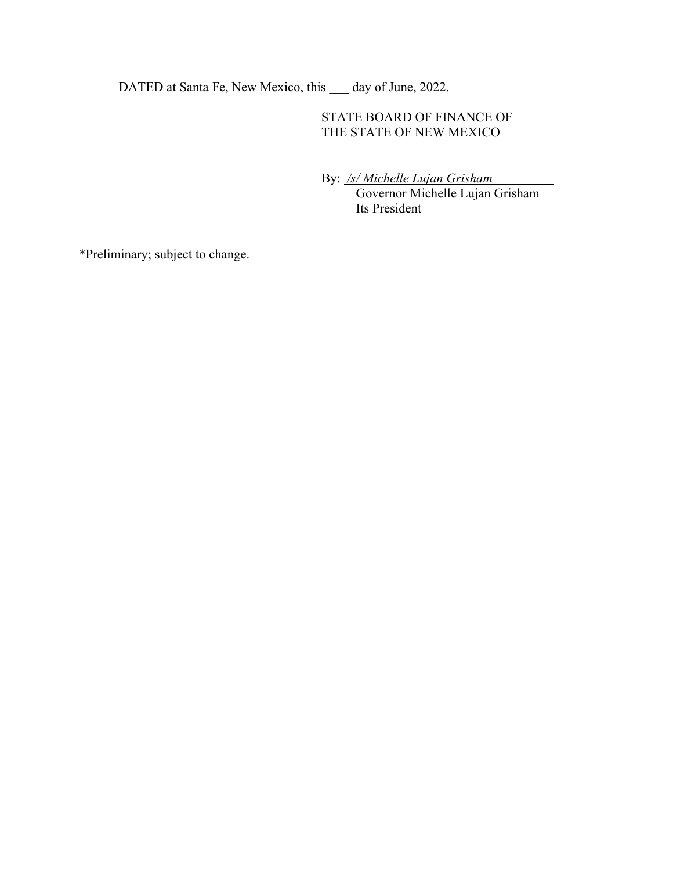DATED at Santa Fe, New Mexico, this \_\_\_ day of June, 2022.

# STATE BOARD OF FINANCE OF THE STATE OF NEW MEXICO

By: */s/ Michelle Lujan Grisham*

 Governor Michelle Lujan Grisham Its President

\*Preliminary; subject to change.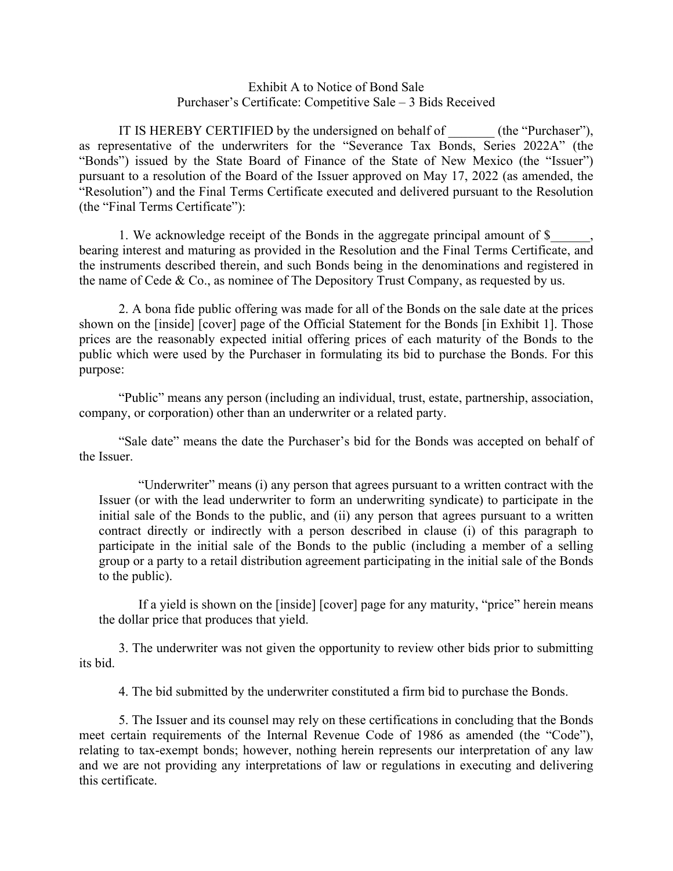## Exhibit A to Notice of Bond Sale Purchaser's Certificate: Competitive Sale – 3 Bids Received

IT IS HEREBY CERTIFIED by the undersigned on behalf of (the "Purchaser"), as representative of the underwriters for the "Severance Tax Bonds, Series 2022A" (the "Bonds") issued by the State Board of Finance of the State of New Mexico (the "Issuer") pursuant to a resolution of the Board of the Issuer approved on May 17, 2022 (as amended, the "Resolution") and the Final Terms Certificate executed and delivered pursuant to the Resolution (the "Final Terms Certificate"):

1. We acknowledge receipt of the Bonds in the aggregate principal amount of \$ bearing interest and maturing as provided in the Resolution and the Final Terms Certificate, and the instruments described therein, and such Bonds being in the denominations and registered in the name of Cede & Co., as nominee of The Depository Trust Company, as requested by us.

2. A bona fide public offering was made for all of the Bonds on the sale date at the prices shown on the [inside] [cover] page of the Official Statement for the Bonds [in Exhibit 1]. Those prices are the reasonably expected initial offering prices of each maturity of the Bonds to the public which were used by the Purchaser in formulating its bid to purchase the Bonds. For this purpose:

"Public" means any person (including an individual, trust, estate, partnership, association, company, or corporation) other than an underwriter or a related party.

"Sale date" means the date the Purchaser's bid for the Bonds was accepted on behalf of the Issuer.

"Underwriter" means (i) any person that agrees pursuant to a written contract with the Issuer (or with the lead underwriter to form an underwriting syndicate) to participate in the initial sale of the Bonds to the public, and (ii) any person that agrees pursuant to a written contract directly or indirectly with a person described in clause (i) of this paragraph to participate in the initial sale of the Bonds to the public (including a member of a selling group or a party to a retail distribution agreement participating in the initial sale of the Bonds to the public).

If a yield is shown on the [inside] [cover] page for any maturity, "price" herein means the dollar price that produces that yield.

3. The underwriter was not given the opportunity to review other bids prior to submitting its bid.

4. The bid submitted by the underwriter constituted a firm bid to purchase the Bonds.

5. The Issuer and its counsel may rely on these certifications in concluding that the Bonds meet certain requirements of the Internal Revenue Code of 1986 as amended (the "Code"), relating to tax-exempt bonds; however, nothing herein represents our interpretation of any law and we are not providing any interpretations of law or regulations in executing and delivering this certificate.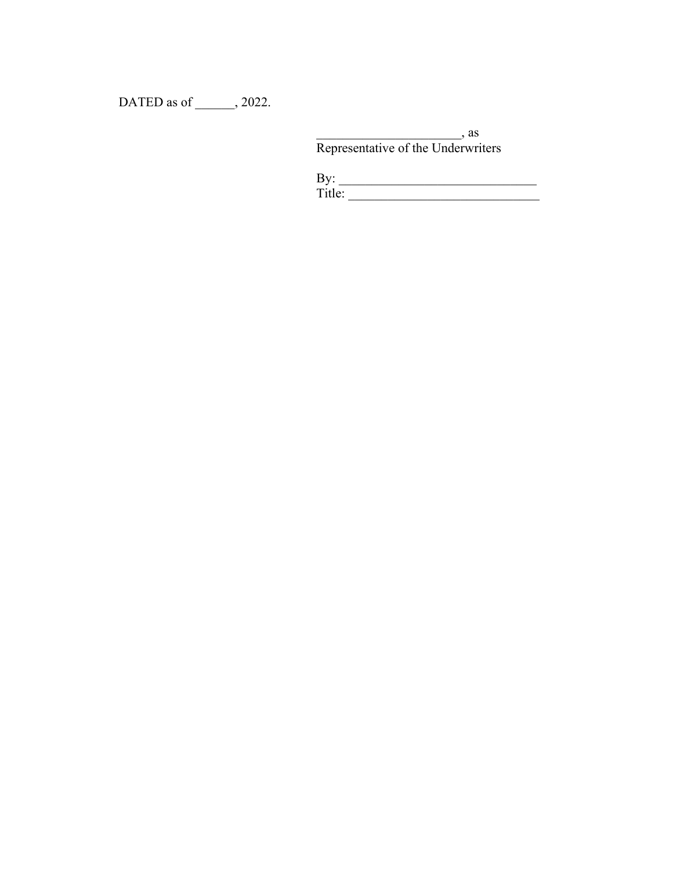DATED as of \_\_\_\_\_\_, 2022.

 $\overline{\phantom{a}}$ , as Representative of the Underwriters

| By:    |  |  |  |
|--------|--|--|--|
| Title: |  |  |  |